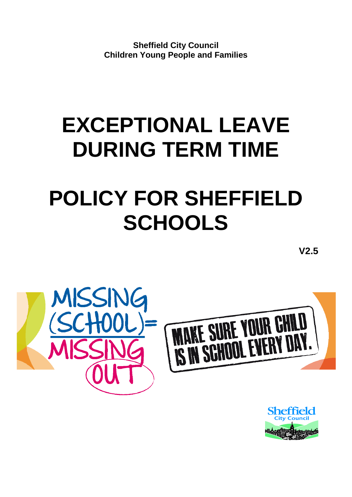**Sheffield City Council Children Young People and Families**

# **EXCEPTIONAL LEAVE DURING TERM TIME**

# **POLICY FOR SHEFFIELD SCHOOLS**

**V2.5**



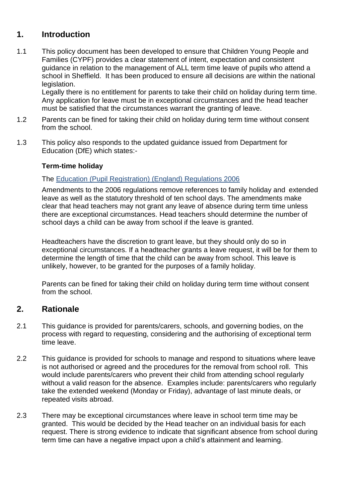## **1. Introduction**

1.1 This policy document has been developed to ensure that Children Young People and Families (CYPF) provides a clear statement of intent, expectation and consistent guidance in relation to the management of ALL term time leave of pupils who attend a school in Sheffield. It has been produced to ensure all decisions are within the national legislation.

Legally there is no entitlement for parents to take their child on holiday during term time. Any application for leave must be in exceptional circumstances and the head teacher must be satisfied that the circumstances warrant the granting of leave.

- 1.2 Parents can be fined for taking their child on holiday during term time without consent from the school.
- 1.3 This policy also responds to the updated guidance issued from Department for Education (DfE) which states:-

#### **Term-time holiday**

#### The [Education \(Pupil Registration\) \(England\) Regulations 2006](http://www.legislation.gov.uk/uksi/2006/1751/contents/made)

Amendments to the 2006 regulations remove references to family holiday and extended leave as well as the statutory threshold of ten school days. The amendments make clear that head teachers may not grant any leave of absence during term time unless there are exceptional circumstances. Head teachers should determine the number of school days a child can be away from school if the leave is granted.

Headteachers have the discretion to grant leave, but they should only do so in exceptional circumstances. If a headteacher grants a leave request, it will be for them to determine the length of time that the child can be away from school. This leave is unlikely, however, to be granted for the purposes of a family holiday.

Parents can be fined for taking their child on holiday during term time without consent from the school.

#### **2. Rationale**

- 2.1 This guidance is provided for parents/carers, schools, and governing bodies, on the process with regard to requesting, considering and the authorising of exceptional term time leave.
- 2.2 This guidance is provided for schools to manage and respond to situations where leave is not authorised or agreed and the procedures for the removal from school roll. This would include parents/carers who prevent their child from attending school regularly without a valid reason for the absence. Examples include: parents/carers who regularly take the extended weekend (Monday or Friday), advantage of last minute deals, or repeated visits abroad.
- 2.3 There may be exceptional circumstances where leave in school term time may be granted. This would be decided by the Head teacher on an individual basis for each request. There is strong evidence to indicate that significant absence from school during term time can have a negative impact upon a child's attainment and learning.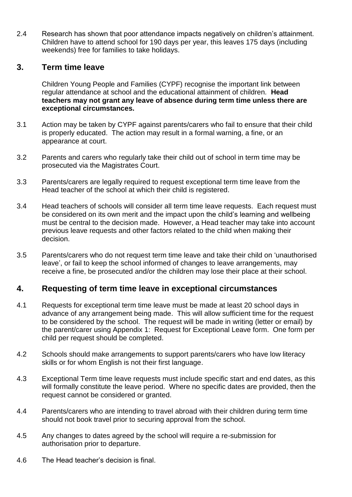2.4 Research has shown that poor attendance impacts negatively on children's attainment. Children have to attend school for 190 days per year, this leaves 175 days (including weekends) free for families to take holidays.

#### **3. Term time leave**

Children Young People and Families (CYPF) recognise the important link between regular attendance at school and the educational attainment of children*.* **Head teachers may not grant any leave of absence during term time unless there are exceptional circumstances.**

- 3.1 Action may be taken by CYPF against parents/carers who fail to ensure that their child is properly educated. The action may result in a formal warning, a fine, or an appearance at court.
- 3.2 Parents and carers who regularly take their child out of school in term time may be prosecuted via the Magistrates Court.
- 3.3 Parents/carers are legally required to request exceptional term time leave from the Head teacher of the school at which their child is registered.
- 3.4 Head teachers of schools will consider all term time leave requests. Each request must be considered on its own merit and the impact upon the child's learning and wellbeing must be central to the decision made. However, a Head teacher may take into account previous leave requests and other factors related to the child when making their decision.
- 3.5 Parents/carers who do not request term time leave and take their child on 'unauthorised leave', or fail to keep the school informed of changes to leave arrangements, may receive a fine, be prosecuted and/or the children may lose their place at their school.

#### **4. Requesting of term time leave in exceptional circumstances**

- 4.1 Requests for exceptional term time leave must be made at least 20 school days in advance of any arrangement being made. This will allow sufficient time for the request to be considered by the school. The request will be made in writing (letter or email) by the parent/carer using Appendix 1: Request for Exceptional Leave form. One form per child per request should be completed.
- 4.2 Schools should make arrangements to support parents/carers who have low literacy skills or for whom English is not their first language.
- 4.3 Exceptional Term time leave requests must include specific start and end dates, as this will formally constitute the leave period. Where no specific dates are provided, then the request cannot be considered or granted.
- 4.4 Parents/carers who are intending to travel abroad with their children during term time should not book travel prior to securing approval from the school.
- 4.5 Any changes to dates agreed by the school will require a re-submission for authorisation prior to departure.
- 4.6 The Head teacher's decision is final.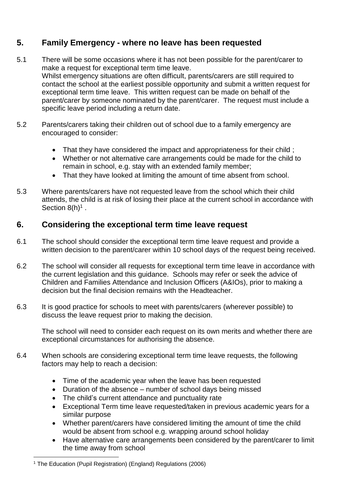# **5. Family Emergency - where no leave has been requested**

- 5.1 There will be some occasions where it has not been possible for the parent/carer to make a request for exceptional term time leave. Whilst emergency situations are often difficult, parents/carers are still required to contact the school at the earliest possible opportunity and submit a written request for exceptional term time leave. This written request can be made on behalf of the parent/carer by someone nominated by the parent/carer. The request must include a specific leave period including a return date.
- 5.2 Parents/carers taking their children out of school due to a family emergency are encouraged to consider:
	- That they have considered the impact and appropriateness for their child ;
	- Whether or not alternative care arrangements could be made for the child to remain in school, e.g. stay with an extended family member;
	- That they have looked at limiting the amount of time absent from school.
- 5.3 Where parents/carers have not requested leave from the school which their child attends, the child is at risk of losing their place at the current school in accordance with Section  $8(h)^1$  .

## **6. Considering the exceptional term time leave request**

- 6.1 The school should consider the exceptional term time leave request and provide a written decision to the parent/carer within 10 school days of the request being received.
- 6.2 The school will consider all requests for exceptional term time leave in accordance with the current legislation and this guidance. Schools may refer or seek the advice of Children and Families Attendance and Inclusion Officers (A&IOs), prior to making a decision but the final decision remains with the Headteacher.
- 6.3 It is good practice for schools to meet with parents/carers (wherever possible) to discuss the leave request prior to making the decision.

The school will need to consider each request on its own merits and whether there are exceptional circumstances for authorising the absence.

- 6.4 When schools are considering exceptional term time leave requests, the following factors may help to reach a decision:
	- Time of the academic year when the leave has been requested
	- Duration of the absence number of school days being missed
	- The child's current attendance and punctuality rate
	- Exceptional Term time leave requested/taken in previous academic years for a similar purpose
	- Whether parent/carers have considered limiting the amount of time the child would be absent from school e.g. wrapping around school holiday
	- Have alternative care arrangements been considered by the parent/carer to limit the time away from school

1

<sup>1</sup> The Education (Pupil Registration) (England) Regulations (2006)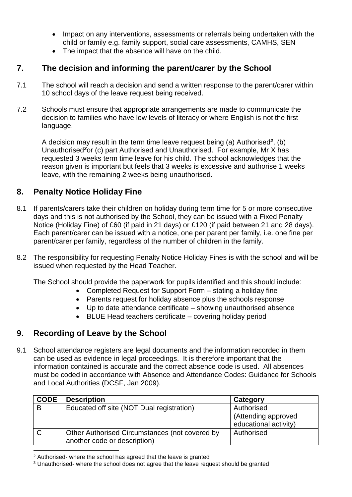- Impact on any interventions, assessments or referrals being undertaken with the child or family e.g. family support, social care assessments, CAMHS, SEN
- The impact that the absence will have on the child.

# **7. The decision and informing the parent/carer by the School**

- 7.1 The school will reach a decision and send a written response to the parent/carer within 10 school days of the leave request being received.
- 7.2 Schools must ensure that appropriate arrangements are made to communicate the decision to families who have low levels of literacy or where English is not the first language.

A decision may result in the term time leave request being (a) Authorised*<sup>2</sup>* , (b) Unauthorised*<sup>3</sup>*or (c) part Authorised and Unauthorised. For example, Mr X has requested 3 weeks term time leave for his child. The school acknowledges that the reason given is important but feels that 3 weeks is excessive and authorise 1 weeks leave, with the remaining 2 weeks being unauthorised.

## **8. Penalty Notice Holiday Fine**

- 8.1 If parents/carers take their children on holiday during term time for 5 or more consecutive days and this is not authorised by the School, they can be issued with a Fixed Penalty Notice (Holiday Fine) of £60 (if paid in 21 days) or £120 (if paid between 21 and 28 days). Each parent/carer can be issued with a notice, one per parent per family, i.e. one fine per parent/carer per family, regardless of the number of children in the family.
- 8.2 The responsibility for requesting Penalty Notice Holiday Fines is with the school and will be issued when requested by the Head Teacher.

The School should provide the paperwork for pupils identified and this should include:

- Completed Request for Support Form stating a holiday fine
- Parents request for holiday absence plus the schools response
- Up to date attendance certificate showing unauthorised absence
- BLUE Head teachers certificate covering holiday period

# **9. Recording of Leave by the School**

9.1 School attendance registers are legal documents and the information recorded in them can be used as evidence in legal proceedings. It is therefore important that the information contained is accurate and the correct absence code is used. All absences must be coded in accordance with Absence and Attendance Codes: Guidance for Schools and Local Authorities (DCSF, Jan 2009).

| <b>CODE</b> | <b>Description</b>                                                             | Category                                                   |
|-------------|--------------------------------------------------------------------------------|------------------------------------------------------------|
| B           | Educated off site (NOT Dual registration)                                      | Authorised<br>(Attending approved<br>educational activity) |
| C)          | Other Authorised Circumstances (not covered by<br>another code or description) | Authorised                                                 |

<sup>2</sup> Authorised- where the school has agreed that the leave is granted

<sup>3</sup> Unauthorised- where the school does not agree that the leave request should be granted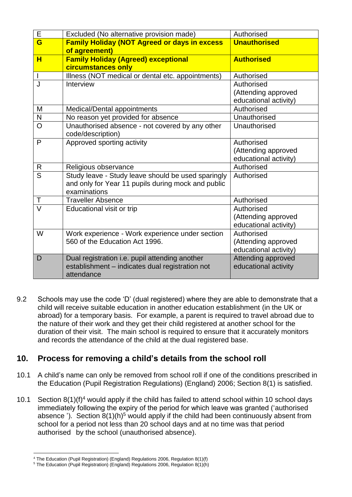| Е              | Excluded (No alternative provision made)                                                                                 | Authorised                                                 |
|----------------|--------------------------------------------------------------------------------------------------------------------------|------------------------------------------------------------|
| G              | <b>Family Holiday (NOT Agreed or days in excess</b><br>of agreement)                                                     | <b>Unauthorised</b>                                        |
| H              | <b>Family Holiday (Agreed) exceptional</b><br>circumstances only                                                         | <b>Authorised</b>                                          |
|                | Illness (NOT medical or dental etc. appointments)                                                                        | Authorised                                                 |
| J              | Interview                                                                                                                | Authorised<br>(Attending approved<br>educational activity) |
| M              | Medical/Dental appointments                                                                                              | Authorised                                                 |
| N              | No reason yet provided for absence                                                                                       | Unauthorised                                               |
| O              | Unauthorised absence - not covered by any other<br>code/description)                                                     | Unauthorised                                               |
| P              | Approved sporting activity                                                                                               | Authorised<br>(Attending approved<br>educational activity) |
| R              | Religious observance                                                                                                     | Authorised                                                 |
| $\overline{S}$ | Study leave - Study leave should be used sparingly<br>and only for Year 11 pupils during mock and public<br>examinations | Authorised                                                 |
| Τ              | <b>Traveller Absence</b>                                                                                                 | Authorised                                                 |
| $\vee$         | Educational visit or trip                                                                                                | Authorised<br>(Attending approved<br>educational activity) |
| W              | Work experience - Work experience under section<br>560 of the Education Act 1996.                                        | Authorised<br>(Attending approved<br>educational activity) |
| D              | Dual registration i.e. pupil attending another<br>establishment - indicates dual registration not<br>attendance          | Attending approved<br>educational activity                 |

9.2 Schools may use the code 'D' (dual registered) where they are able to demonstrate that a child will receive suitable education in another education establishment (in the UK or abroad) for a temporary basis. For example, a parent is required to travel abroad due to the nature of their work and they get their child registered at another school for the duration of their visit. The main school is required to ensure that it accurately monitors and records the attendance of the child at the dual registered base.

## **10. Process for removing a child's details from the school roll**

- 10.1 A child's name can only be removed from school roll if one of the conditions prescribed in the Education (Pupil Registration Regulations) (England) 2006; Section 8(1) is satisfied.
- 10.1 Section 8(1)(f) <sup>4</sup> would apply if the child has failed to attend school within 10 school days immediately following the expiry of the period for which leave was granted ('authorised absence '). Section  $8(1)(h)^5$  would apply if the child had been continuously absent from school for a period not less than 20 school days and at no time was that period authorised by the school (unauthorised absence).

<sup>1</sup> <sup>4</sup> The Education (Pupil Registration) (England) Regulations 2006, Regulation 8(1)(f)

 $5$  The Education (Pupil Registration) (England) Regulations 2006, Regulation 8(1)(h)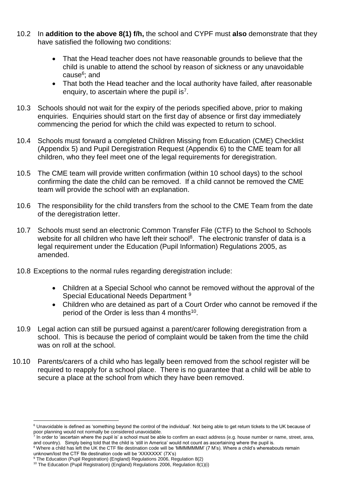- 10.2 In **addition to the above 8(1) f/h,** the school and CYPF must **also** demonstrate that they have satisfied the following two conditions:
	- That the Head teacher does not have reasonable grounds to believe that the child is unable to attend the school by reason of sickness or any unavoidable cause<sup>6</sup>; and
	- That both the Head teacher and the local authority have failed, after reasonable enquiry, to ascertain where the pupil is<sup>7</sup>.
- 10.3 Schools should not wait for the expiry of the periods specified above, prior to making enquiries. Enquiries should start on the first day of absence or first day immediately commencing the period for which the child was expected to return to school.
- 10.4 Schools must forward a completed Children Missing from Education (CME) Checklist (Appendix 5) and Pupil Deregistration Request (Appendix 6) to the CME team for all children, who they feel meet one of the legal requirements for deregistration.
- 10.5 The CME team will provide written confirmation (within 10 school days) to the school confirming the date the child can be removed. If a child cannot be removed the CME team will provide the school with an explanation.
- 10.6 The responsibility for the child transfers from the school to the CME Team from the date of the deregistration letter.
- 10.7 Schools must send an electronic Common Transfer File (CTF) to the School to Schools website for all children who have left their school<sup>8</sup>. The electronic transfer of data is a legal requirement under the Education (Pupil Information) Regulations 2005, as amended.
- 10.8 Exceptions to the normal rules regarding deregistration include:
	- Children at a Special School who cannot be removed without the approval of the Special Educational Needs Department <sup>9</sup>
	- Children who are detained as part of a Court Order who cannot be removed if the period of the Order is less than 4 months<sup>10</sup>.
- 10.9 Legal action can still be pursued against a parent/carer following deregistration from a school. This is because the period of complaint would be taken from the time the child was on roll at the school.
- 10.10 Parents/carers of a child who has legally been removed from the school register will be required to reapply for a school place. There is no guarantee that a child will be able to secure a place at the school from which they have been removed.

<u>.</u>

<sup>&</sup>lt;sup>6</sup> Unavoidable is defined as 'something beyond the control of the individual'. Not being able to get return tickets to the UK because of poor planning would not normally be considered unavoidable.<br>In order to 'ascertain where the nunil is' a school must be abl

In order to 'ascertain where the pupil is' a school must be able to confirm an exact address (e.g. house number or name, street, area, and country). Simply being told that the child is 'still in America' would not count as ascertaining where the pupil is.

<sup>&</sup>lt;sup>8</sup> Where a child has left the UK the CTF file destination code will be 'MMMMMMM' (7 M's). Where a child's whereabouts remain unknown/lost the CTF file destination code will be 'XXXXXXX' (7X's)

<sup>9</sup> The Education (Pupil Registration) (England) Regulations 2006, Regulation 8(2)

<sup>&</sup>lt;sup>10</sup> The Education (Pupil Registration) (England) Regulations 2006, Regulation 8(1)(i)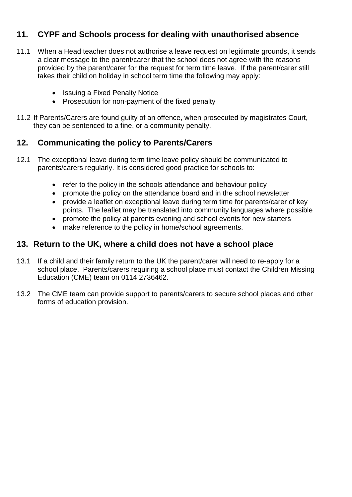# **11. CYPF and Schools process for dealing with unauthorised absence**

- 11.1 When a Head teacher does not authorise a leave request on legitimate grounds, it sends a clear message to the parent/carer that the school does not agree with the reasons provided by the parent/carer for the request for term time leave. If the parent/carer still takes their child on holiday in school term time the following may apply:
	- Issuing a Fixed Penalty Notice
	- Prosecution for non-payment of the fixed penalty
- 11.2 If Parents/Carers are found guilty of an offence, when prosecuted by magistrates Court, they can be sentenced to a fine, or a community penalty.

## **12. Communicating the policy to Parents/Carers**

- 12.1 The exceptional leave during term time leave policy should be communicated to parents/carers regularly. It is considered good practice for schools to:
	- refer to the policy in the schools attendance and behaviour policy
	- promote the policy on the attendance board and in the school newsletter
	- provide a leaflet on exceptional leave during term time for parents/carer of key points. The leaflet may be translated into community languages where possible
	- promote the policy at parents evening and school events for new starters
	- make reference to the policy in home/school agreements.

#### **13. Return to the UK, where a child does not have a school place**

- 13.1 If a child and their family return to the UK the parent/carer will need to re-apply for a school place. Parents/carers requiring a school place must contact the Children Missing Education (CME) team on 0114 2736462.
- 13.2 The CME team can provide support to parents/carers to secure school places and other forms of education provision.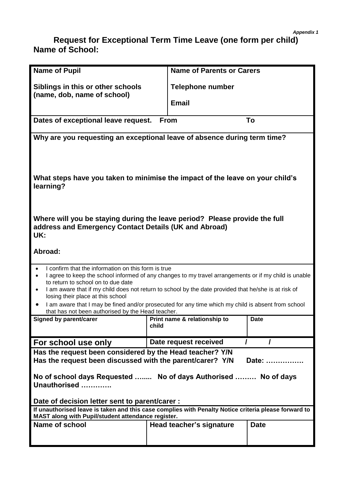#### *Appendix 1*

## **Request for Exceptional Term Time Leave (one form per child) Name of School:**

| <b>Name of Pupil</b>                                                                                                                                                                                                                                                                                                                                                           | <b>Name of Parents or Carers</b>      |             |  |  |  |
|--------------------------------------------------------------------------------------------------------------------------------------------------------------------------------------------------------------------------------------------------------------------------------------------------------------------------------------------------------------------------------|---------------------------------------|-------------|--|--|--|
| Siblings in this or other schools                                                                                                                                                                                                                                                                                                                                              | <b>Telephone number</b>               |             |  |  |  |
| (name, dob, name of school)                                                                                                                                                                                                                                                                                                                                                    | <b>Email</b>                          |             |  |  |  |
| Dates of exceptional leave request.                                                                                                                                                                                                                                                                                                                                            | <b>From</b>                           | To          |  |  |  |
| Why are you requesting an exceptional leave of absence during term time?                                                                                                                                                                                                                                                                                                       |                                       |             |  |  |  |
| What steps have you taken to minimise the impact of the leave on your child's<br>learning?                                                                                                                                                                                                                                                                                     |                                       |             |  |  |  |
| Where will you be staying during the leave period? Please provide the full<br>address and Emergency Contact Details (UK and Abroad)<br>UK:                                                                                                                                                                                                                                     |                                       |             |  |  |  |
| Abroad:                                                                                                                                                                                                                                                                                                                                                                        |                                       |             |  |  |  |
| I confirm that the information on this form is true<br>$\bullet$<br>I agree to keep the school informed of any changes to my travel arrangements or if my child is unable<br>٠<br>to return to school on to due date<br>I am aware that if my child does not return to school by the date provided that he/she is at risk of<br>$\bullet$<br>losing their place at this school |                                       |             |  |  |  |
| I am aware that I may be fined and/or prosecuted for any time which my child is absent from school<br>٠<br>that has not been authorised by the Head teacher.                                                                                                                                                                                                                   |                                       |             |  |  |  |
| <b>Signed by parent/carer</b>                                                                                                                                                                                                                                                                                                                                                  | Print name & relationship to<br>child | <b>Date</b> |  |  |  |
| For school use only                                                                                                                                                                                                                                                                                                                                                            | Date request received                 |             |  |  |  |
| Has the request been considered by the Head teacher? Y/N<br>Has the request been discussed with the parent/carer? Y/N<br>Date:<br>No of school days Requested  No of days Authorised  No of days<br>Unauthorised                                                                                                                                                               |                                       |             |  |  |  |
| Date of decision letter sent to parent/carer :                                                                                                                                                                                                                                                                                                                                 |                                       |             |  |  |  |
| If unauthorised leave is taken and this case complies with Penalty Notice criteria please forward to<br>MAST along with Pupil/student attendance register.                                                                                                                                                                                                                     |                                       |             |  |  |  |
| Name of school<br><b>Date</b><br>Head teacher's signature                                                                                                                                                                                                                                                                                                                      |                                       |             |  |  |  |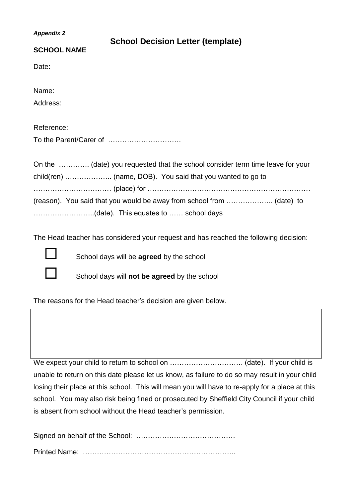| <b>Appendix 2</b>      | <b>School Decision Letter (template)</b>                                       |  |  |
|------------------------|--------------------------------------------------------------------------------|--|--|
| <b>SCHOOL NAME</b>     |                                                                                |  |  |
| Date:                  |                                                                                |  |  |
| Name:                  |                                                                                |  |  |
| Address:               |                                                                                |  |  |
| Reference:             |                                                                                |  |  |
| To the Parent/Carer of |                                                                                |  |  |
|                        | On the  (date) you requested that the school consider term time leave for your |  |  |
|                        |                                                                                |  |  |
|                        |                                                                                |  |  |
|                        |                                                                                |  |  |

The Head teacher has considered your request and has reached the following decision:



School days will be **agreed** by the school

School days will **not be agreed** by the school

The reasons for the Head teacher's decision are given below.

We expect your child to return to school on …………………………. (date). If your child is unable to return on this date please let us know, as failure to do so may result in your child losing their place at this school. This will mean you will have to re-apply for a place at this school. You may also risk being fined or prosecuted by Sheffield City Council if your child is absent from school without the Head teacher's permission.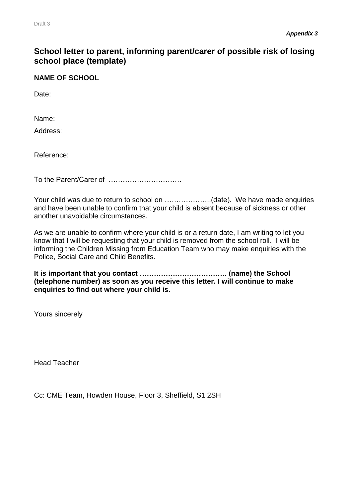#### **School letter to parent, informing parent/carer of possible risk of losing school place (template)**

#### **NAME OF SCHOOL**

Date:

Name:

Address:

Reference:

To the Parent/Carer of ………………………….

Your child was due to return to school on .....................(date). We have made enquiries and have been unable to confirm that your child is absent because of sickness or other another unavoidable circumstances.

As we are unable to confirm where your child is or a return date, I am writing to let you know that I will be requesting that your child is removed from the school roll. I will be informing the Children Missing from Education Team who may make enquiries with the Police, Social Care and Child Benefits.

**It is important that you contact ………………………………. (name) the School (telephone number) as soon as you receive this letter. I will continue to make enquiries to find out where your child is.**

Yours sincerely

Head Teacher

Cc: CME Team, Howden House, Floor 3, Sheffield, S1 2SH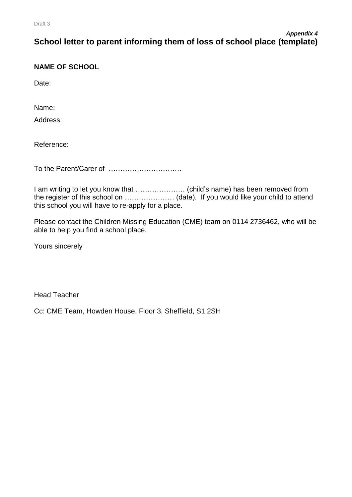#### **NAME OF SCHOOL**

Date:

Name:

Address:

Reference:

To the Parent/Carer of ………………………….

I am writing to let you know that ………………… (child's name) has been removed from the register of this school on ………………… (date). If you would like your child to attend this school you will have to re-apply for a place.

Please contact the Children Missing Education (CME) team on 0114 2736462, who will be able to help you find a school place.

Yours sincerely

Head Teacher

Cc: CME Team, Howden House, Floor 3, Sheffield, S1 2SH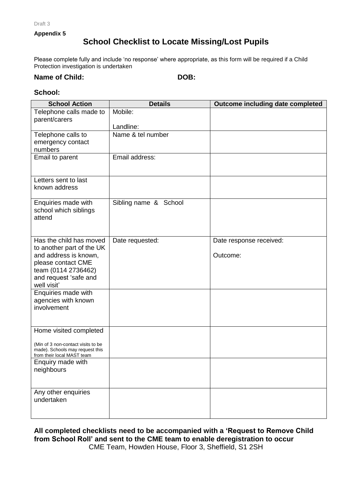Draft 3

**Appendix 5**

## **School Checklist to Locate Missing/Lost Pupils**

Please complete fully and include 'no response' where appropriate, as this form will be required if a Child Protection investigation is undertaken

#### **Name of Child: DOB:**

#### **School:**

| <b>School Action</b>                            | <b>Details</b>        | Outcome including date completed |
|-------------------------------------------------|-----------------------|----------------------------------|
| Telephone calls made to                         | Mobile:               |                                  |
| parent/carers                                   |                       |                                  |
|                                                 | Landline:             |                                  |
| Telephone calls to                              | Name & tel number     |                                  |
| emergency contact                               |                       |                                  |
| numbers                                         |                       |                                  |
| Email to parent                                 | Email address:        |                                  |
|                                                 |                       |                                  |
|                                                 |                       |                                  |
| Letters sent to last<br>known address           |                       |                                  |
|                                                 |                       |                                  |
| Enquiries made with                             | Sibling name & School |                                  |
| school which siblings                           |                       |                                  |
| attend                                          |                       |                                  |
|                                                 |                       |                                  |
|                                                 |                       |                                  |
| Has the child has moved                         | Date requested:       | Date response received:          |
| to another part of the UK                       |                       | Outcome:                         |
| and address is known,<br>please contact CME     |                       |                                  |
| team (0114 2736462)                             |                       |                                  |
| and request 'safe and                           |                       |                                  |
| well visit'                                     |                       |                                  |
| Enquiries made with                             |                       |                                  |
| agencies with known                             |                       |                                  |
| involvement                                     |                       |                                  |
|                                                 |                       |                                  |
|                                                 |                       |                                  |
| Home visited completed                          |                       |                                  |
| (Min of 3 non-contact visits to be              |                       |                                  |
| made). Schools may request this                 |                       |                                  |
| from their local MAST team<br>Enquiry made with |                       |                                  |
| neighbours                                      |                       |                                  |
|                                                 |                       |                                  |
|                                                 |                       |                                  |
| Any other enquiries                             |                       |                                  |
| undertaken                                      |                       |                                  |
|                                                 |                       |                                  |
|                                                 |                       |                                  |

**All completed checklists need to be accompanied with a 'Request to Remove Child from School Roll' and sent to the CME team to enable deregistration to occur** CME Team, Howden House, Floor 3, Sheffield, S1 2SH